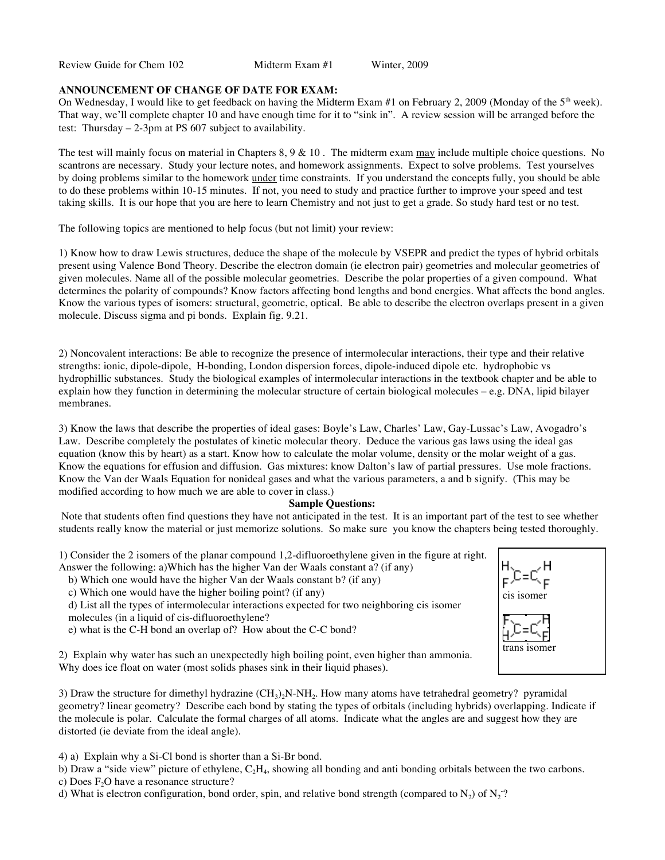Review Guide for Chem 102 Midterm Exam #1 Winter, 2009

## **ANNOUNCEMENT OF CHANGE OF DATE FOR EXAM:**

On Wednesday, I would like to get feedback on having the Midterm Exam #1 on February 2, 2009 (Monday of the 5<sup>th</sup> week). That way, we'll complete chapter 10 and have enough time for it to "sink in". A review session will be arranged before the test: Thursday – 2-3pm at PS 607 subject to availability.

The test will mainly focus on material in Chapters 8, 9 & 10 . The midterm exam may include multiple choice questions. No scantrons are necessary. Study your lecture notes, and homework assignments. Expect to solve problems. Test yourselves by doing problems similar to the homework under time constraints. If you understand the concepts fully, you should be able to do these problems within 10-15 minutes. If not, you need to study and practice further to improve your speed and test taking skills. It is our hope that you are here to learn Chemistry and not just to get a grade. So study hard test or no test.

The following topics are mentioned to help focus (but not limit) your review:

1) Know how to draw Lewis structures, deduce the shape of the molecule by VSEPR and predict the types of hybrid orbitals present using Valence Bond Theory. Describe the electron domain (ie electron pair) geometries and molecular geometries of given molecules. Name all of the possible molecular geometries. Describe the polar properties of a given compound. What determines the polarity of compounds? Know factors affecting bond lengths and bond energies. What affects the bond angles. Know the various types of isomers: structural, geometric, optical. Be able to describe the electron overlaps present in a given molecule. Discuss sigma and pi bonds. Explain fig. 9.21.

2) Noncovalent interactions: Be able to recognize the presence of intermolecular interactions, their type and their relative strengths: ionic, dipole-dipole, H-bonding, London dispersion forces, dipole-induced dipole etc. hydrophobic vs hydrophillic substances. Study the biological examples of intermolecular interactions in the textbook chapter and be able to explain how they function in determining the molecular structure of certain biological molecules – e.g. DNA, lipid bilayer membranes.

3) Know the laws that describe the properties of ideal gases: Boyle's Law, Charles' Law, Gay-Lussac's Law, Avogadro's Law. Describe completely the postulates of kinetic molecular theory. Deduce the various gas laws using the ideal gas equation (know this by heart) as a start. Know how to calculate the molar volume, density or the molar weight of a gas. Know the equations for effusion and diffusion. Gas mixtures: know Dalton's law of partial pressures. Use mole fractions. Know the Van der Waals Equation for nonideal gases and what the various parameters, a and b signify. (This may be modified according to how much we are able to cover in class.)

## **Sample Questions:**

 Note that students often find questions they have not anticipated in the test. It is an important part of the test to see whether students really know the material or just memorize solutions. So make sure you know the chapters being tested thoroughly.

1) Consider the 2 isomers of the planar compound 1,2-difluoroethylene given in the figure at right. Answer the following: a)Which has the higher Van der Waals constant a? (if any)

- b) Which one would have the higher Van der Waals constant b? (if any)
- c) Which one would have the higher boiling point? (if any)

d) List all the types of intermolecular interactions expected for two neighboring cis isomer molecules (in a liquid of cis-difluoroethylene?

e) what is the C-H bond an overlap of? How about the C-C bond?



3) Draw the structure for dimethyl hydrazine  $(CH_3)_2N-NH_2$ . How many atoms have tetrahedral geometry? pyramidal geometry? linear geometry? Describe each bond by stating the types of orbitals (including hybrids) overlapping. Indicate if the molecule is polar. Calculate the formal charges of all atoms. Indicate what the angles are and suggest how they are distorted (ie deviate from the ideal angle).

4) a) Explain why a Si-Cl bond is shorter than a Si-Br bond.

b) Draw a "side view" picture of ethylene,  $C_2H_4$ , showing all bonding and anti bonding orbitals between the two carbons.

c) Does  $F_2O$  have a resonance structure?

d) What is electron configuration, bond order, spin, and relative bond strength (compared to  $N_2$ ) of  $N_2$ <sup>-</sup>?